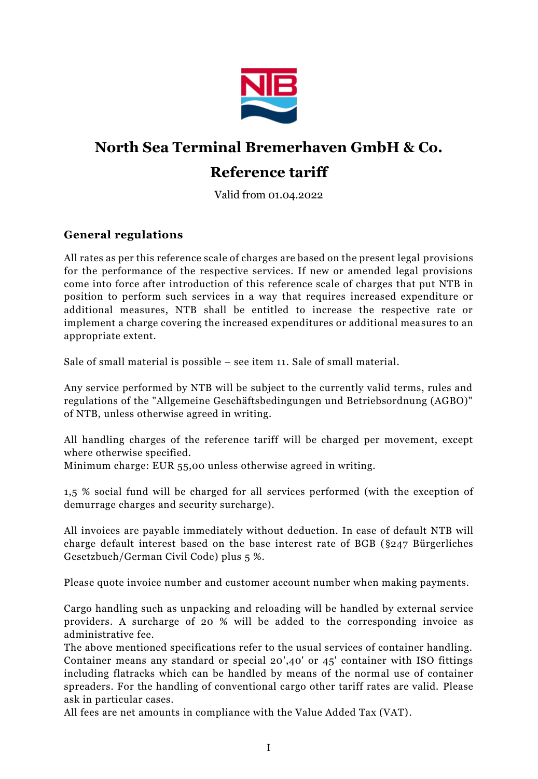

# **North Sea Terminal Bremerhaven GmbH & Co.**

# **Reference tariff**

Valid from 01.04.2022

### <span id="page-0-0"></span>**General regulations**

All rates as per this reference scale of charges are based on the present legal provisions for the performance of the respective services. If new or amended legal provisions come into force after introduction of this reference scale of charges that put NTB in position to perform such services in a way that requires increased expenditure or additional measures, NTB shall be entitled to increase the respective rate or implement a charge covering the increased expenditures or additional measures to an appropriate extent.

Sale of small material is possible – see item 11. Sale of small material.

Any service performed by NTB will be subject to the currently valid terms, rules and regulations of the "Allgemeine Geschäftsbedingungen und Betriebsordnung (AGBO)" of NTB, unless otherwise agreed in writing.

All handling charges of the reference tariff will be charged per movement, except where otherwise specified.

Minimum charge: EUR 55,00 unless otherwise agreed in writing.

1,5 % social fund will be charged for all services performed (with the exception of demurrage charges and security surcharge).

All invoices are payable immediately without deduction. In case of default NTB will charge default interest based on the base interest rate of BGB (§247 Bürgerliches Gesetzbuch/German Civil Code) plus 5 %.

Please quote invoice number and customer account number when making payments.

Cargo handling such as unpacking and reloading will be handled by external service providers. A surcharge of 20 % will be added to the corresponding invoice as administrative fee.

The above mentioned specifications refer to the usual services of container handling. Container means any standard or special 20',40' or 45' container with ISO fittings including flatracks which can be handled by means of the normal use of container spreaders. For the handling of conventional cargo other tariff rates are valid. Please ask in particular cases.

All fees are net amounts in compliance with the Value Added Tax (VAT).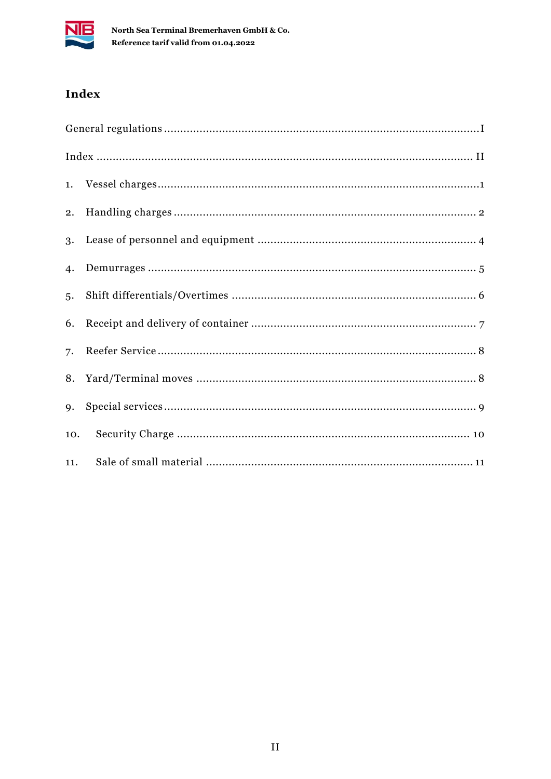

# <span id="page-1-0"></span>Index

| 5.  |  |
|-----|--|
|     |  |
|     |  |
|     |  |
| 9.  |  |
| 10. |  |
| 11. |  |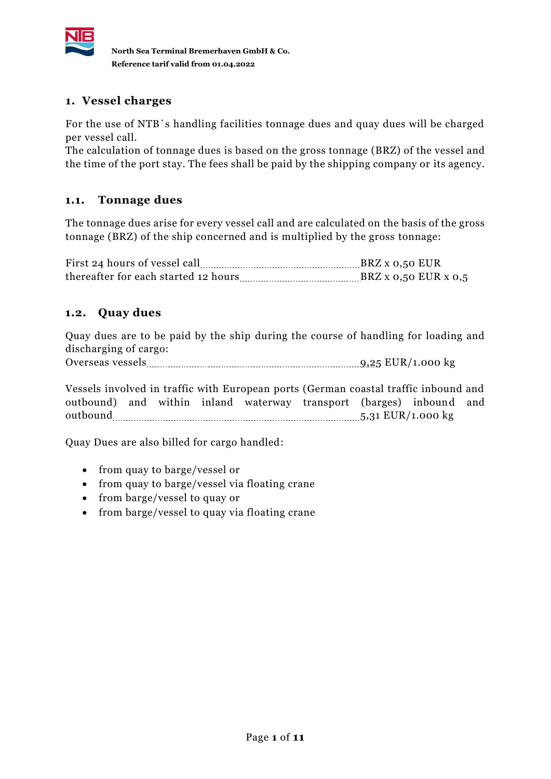

### <span id="page-2-0"></span>**1. Vessel charges**

For the use of NTB`s handling facilities tonnage dues and quay dues will be charged per vessel call.

The calculation of tonnage dues is based on the gross tonnage (BRZ) of the vessel and the time of the port stay. The fees shall be paid by the shipping company or its agency.

### **1.1. Tonnage dues**

The tonnage dues arise for every vessel call and are calculated on the basis of the gross tonnage (BRZ) of the ship concerned and is multiplied by the gross tonnage:

First 24 hours of vessel call **BRZ** x 0,50 EUR thereafter for each started 12 hours  $B R Z x 0,50$  EUR x  $0,5$ 

### **1.2. Quay dues**

Quay dues are to be paid by the ship during the course of handling for loading and discharging of cargo:

Overseas vessels 9,25 EUR/1.000 kg

Vessels involved in traffic with European ports (German coastal traffic inbound and outbound) and within inland waterway transport (barges) inbound and outbound 5,31 EUR/1.000 kg

Quay Dues are also billed for cargo handled:

- from quay to barge/vessel or
- from quay to barge/vessel via floating crane
- from barge/vessel to quay or
- from barge/vessel to quay via floating crane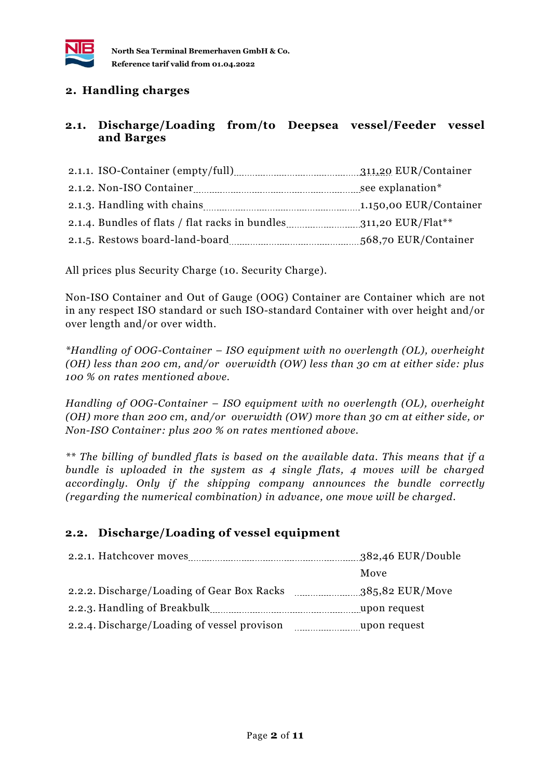

#### <span id="page-3-0"></span>**2. Handling charges**

#### **2.1. Discharge/Loading from/to Deepsea vessel/Feeder vessel and Barges**

| 311,20 EUR/Container   |
|------------------------|
|                        |
| 1.150,00 EUR/Container |
|                        |
| 568,70 EUR/Container   |

All prices plus Security Charge (10. Security Charge).

Non-ISO Container and Out of Gauge (OOG) Container are Container which are not in any respect ISO standard or such ISO-standard Container with over height and/or over length and/or over width.

*\*Handling of OOG-Container – ISO equipment with no overlength (OL), overheight (OH) less than 200 cm, and/or overwidth (OW) less than 30 cm at either side: plus 100 % on rates mentioned above.* 

*Handling of OOG-Container – ISO equipment with no overlength (OL), overheight (OH) more than 200 cm, and/or overwidth (OW) more than 30 cm at either side, or Non-ISO Container: plus 200 % on rates mentioned above.*

*\*\* The billing of bundled flats is based on the available data. This means that if a bundle is uploaded in the system as 4 single flats, 4 moves will be charged accordingly. Only if the shipping company announces the bundle correctly (regarding the numerical combination) in advance, one move will be charged.*

### **2.2. Discharge/Loading of vessel equipment**

|                                             | 382,46 EUR/Double |
|---------------------------------------------|-------------------|
|                                             | Move              |
| 2.2.2. Discharge/Loading of Gear Box Racks  | 385,82 EUR/Move   |
| 2.2.3. Handling of Breakbulk                | upon request      |
| 2.2.4. Discharge/Loading of vessel provison | upon request      |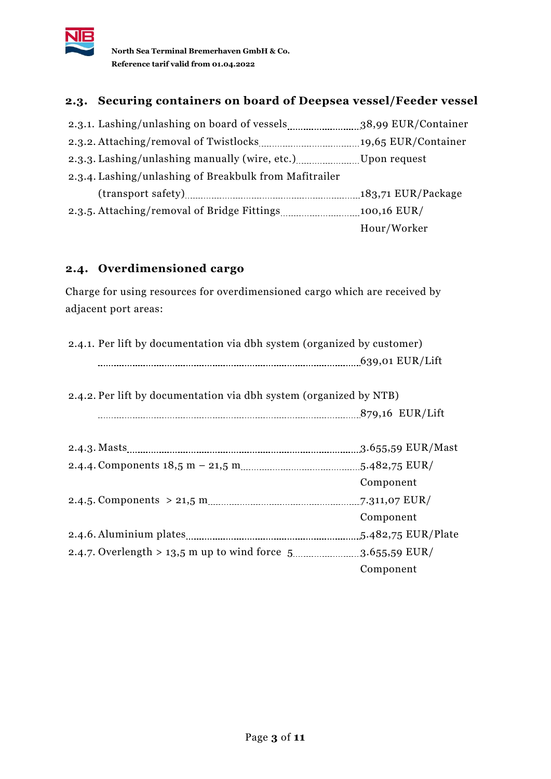

# **2.3. Securing containers on board of Deepsea vessel/Feeder vessel**

| 2.3.4. Lashing/unlashing of Breakbulk from Mafitrailer |             |
|--------------------------------------------------------|-------------|
|                                                        |             |
|                                                        |             |
|                                                        | Hour/Worker |

### **2.4. Overdimensioned cargo**

Charge for using resources for overdimensioned cargo which are received by adjacent port areas:

| 2.4.1. Per lift by documentation via dbh system (organized by customer) |                     |
|-------------------------------------------------------------------------|---------------------|
|                                                                         |                     |
|                                                                         |                     |
| 2.4.2. Per lift by documentation via dbh system (organized by NTB)      |                     |
|                                                                         |                     |
|                                                                         |                     |
|                                                                         | $3.655,59$ EUR/Mast |
|                                                                         |                     |
|                                                                         | Component           |
|                                                                         | 7.311,07 EUR/       |
|                                                                         | Component           |
|                                                                         | 5.482,75 EUR/Plate  |
|                                                                         |                     |
|                                                                         | Component           |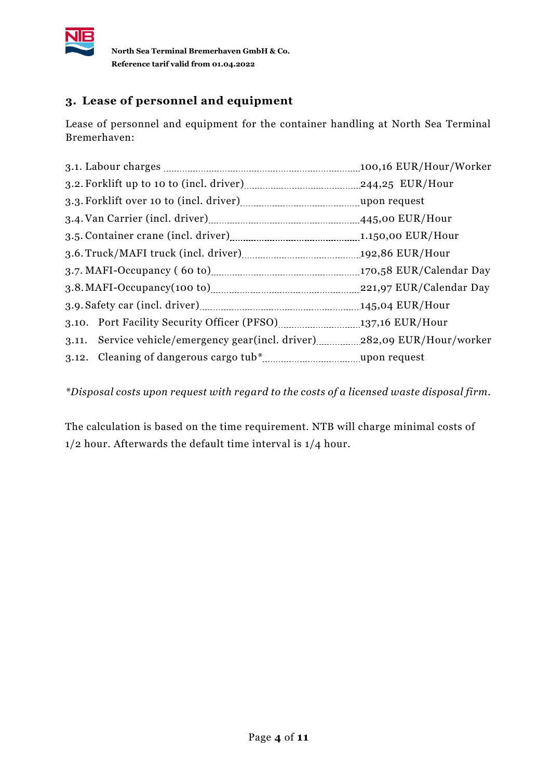

# <span id="page-5-0"></span>**3. Lease of personnel and equipment**

Lease of personnel and equipment for the container handling at North Sea Terminal Bremerhaven:

*\*Disposal costs upon request with regard to the costs of a licensed waste disposal firm.*

The calculation is based on the time requirement. NTB will charge minimal costs of 1/2 hour. Afterwards the default time interval is 1/4 hour.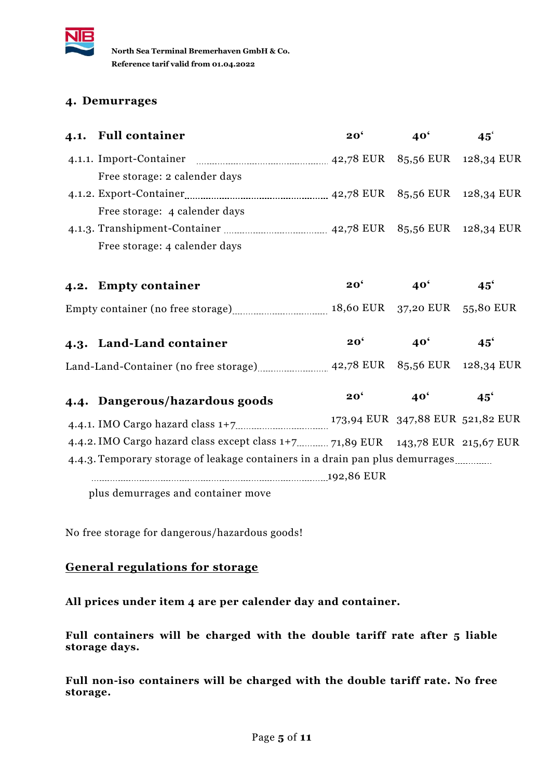

### <span id="page-6-0"></span>**4. Demurrages**

| 4.1. Full container                                             | 20 <sup>6</sup> | 40 <sup>6</sup>                | $45^{\circ}$ |
|-----------------------------------------------------------------|-----------------|--------------------------------|--------------|
| 4.1.1. Import-Container                                         |                 | 42,78 EUR 85,56 EUR 128,34 EUR |              |
| Free storage: 2 calender days                                   |                 |                                |              |
|                                                                 |                 |                                |              |
| Free storage: 4 calender days                                   |                 |                                |              |
| 4.1.3. Transhipment-Container<br>42,78 EUR 85,56 EUR 128,34 EUR |                 |                                |              |
| Free storage: 4 calender days                                   |                 |                                |              |

| 4.2. Empty container              | $20^{\circ}$ | 40 <sup>°</sup>               | $45^{\circ}$ |
|-----------------------------------|--------------|-------------------------------|--------------|
| Empty container (no free storage) |              | 18,60 EUR 37,20 EUR 55,80 EUR |              |

| 4.3. Land-Land container              | $20^{\circ}$ | <b>40'</b> | $45^\circ$                     |
|---------------------------------------|--------------|------------|--------------------------------|
| Land-Land-Container (no free storage) |              |            | 42,78 EUR 85,56 EUR 128,34 EUR |

| 4.4. Dangerous/hazardous goods                                                | $20^{\circ}$ | $40^{\circ}$                     | $45^{\circ}$ |
|-------------------------------------------------------------------------------|--------------|----------------------------------|--------------|
|                                                                               |              | 173,94 EUR 347,88 EUR 521,82 EUR |              |
|                                                                               |              |                                  |              |
| 4.4.3. Temporary storage of leakage containers in a drain pan plus demurrages |              |                                  |              |
|                                                                               |              |                                  |              |
| n ben dammangan and aantalnan mara                                            |              |                                  |              |

plus demurrages and container move

No free storage for dangerous/hazardous goods!

### **General regulations for storage**

**All prices under item 4 are per calender day and container.** 

**Full containers will be charged with the double tariff rate after 5 liable storage days.** 

**Full non-iso containers will be charged with the double tariff rate. No free storage.**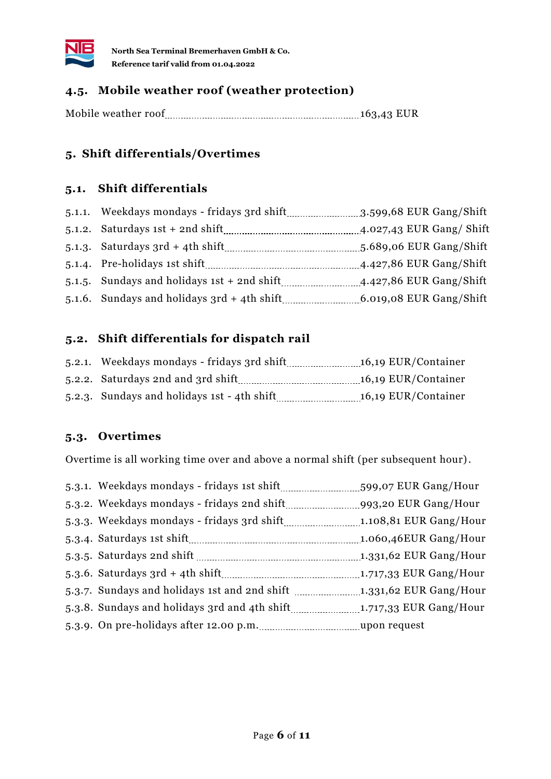

## **4.5. Mobile weather roof (weather protection)**

<span id="page-7-0"></span>Mobile weather roof 163,43 EUR

### **5. Shift differentials/Overtimes**

#### **5.1. Shift differentials**

|                                                       | $3.599,68$ EUR Gang/Shift |  |
|-------------------------------------------------------|---------------------------|--|
| $5.1.2.$ Saturdays 1st + 2nd shift                    | 4.027,43 EUR Gang/ Shift  |  |
| 5.1.3. Saturdays $3rd + 4th$ shift                    | 5.689,06 EUR Gang/Shift   |  |
| 5.1.4. Pre-holidays 1st shift                         | $4.427,86$ EUR Gang/Shift |  |
| 5.1.5. Sundays and holidays $1st + 2nd \text{ shift}$ | $4.427,86$ EUR Gang/Shift |  |
| 5.1.6. Sundays and holidays 3rd + 4th shift           | 6.019,08 EUR Gang/Shift   |  |

### **5.2. Shift differentials for dispatch rail**

|                                             | 16,19 EUR/Container |
|---------------------------------------------|---------------------|
| 5.2.2. Saturdays 2nd and 3rd shift          | 16,19 EUR/Container |
| 5.2.3. Sundays and holidays 1st - 4th shift | 16,19 EUR/Container |

### **5.3. Overtimes**

Overtime is all working time over and above a normal shift (per subsequent hour).

|                                                                      | 599,07 EUR Gang/Hour     |
|----------------------------------------------------------------------|--------------------------|
|                                                                      |                          |
|                                                                      |                          |
|                                                                      | 1.060,46EUR Gang/Hour    |
|                                                                      | $1.331,62$ EUR Gang/Hour |
|                                                                      |                          |
| 5.3.7. Sundays and holidays 1st and 2nd shift 1.331,62 EUR Gang/Hour |                          |
|                                                                      |                          |
|                                                                      |                          |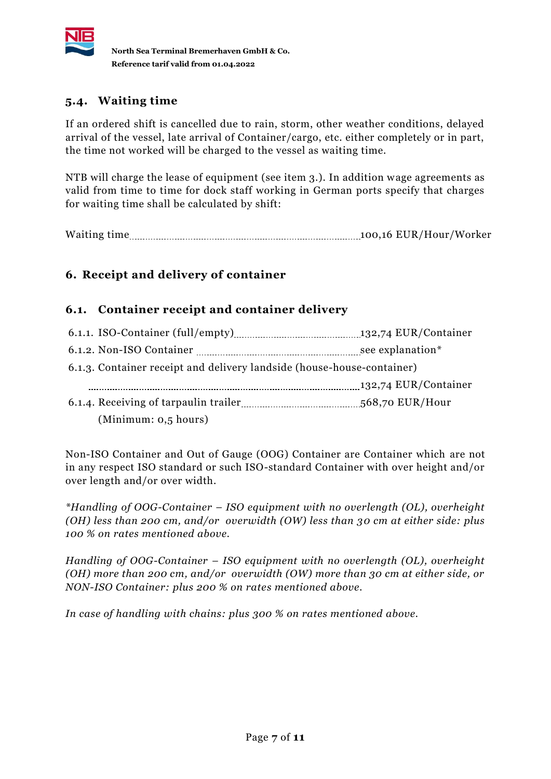

# **5.4. Waiting time**

If an ordered shift is cancelled due to rain, storm, other weather conditions, delayed arrival of the vessel, late arrival of Container/cargo, etc. either completely or in part, the time not worked will be charged to the vessel as waiting time.

NTB will charge the lease of equipment (see item 3.). In addition wage agreements as valid from time to time for dock staff working in German ports specify that charges for waiting time shall be calculated by shift:

<span id="page-8-0"></span>Waiting time 100,16 EUR/Hour/Worker

# **6. Receipt and delivery of container**

### **6.1. Container receipt and container delivery**

|                                                                        | see explanation* |  |
|------------------------------------------------------------------------|------------------|--|
| 6.1.3. Container receipt and delivery landside (house-house-container) |                  |  |
|                                                                        |                  |  |
|                                                                        |                  |  |
| (Minimum: $0,5$ hours)                                                 |                  |  |

Non-ISO Container and Out of Gauge (OOG) Container are Container which are not in any respect ISO standard or such ISO-standard Container with over height and/or over length and/or over width.

*\*Handling of OOG-Container – ISO equipment with no overlength (OL), overheight (OH) less than 200 cm, and/or overwidth (OW) less than 30 cm at either side: plus 100 % on rates mentioned above.* 

*Handling of OOG-Container – ISO equipment with no overlength (OL), overheight (OH) more than 200 cm, and/or overwidth (OW) more than 30 cm at either side, or NON-ISO Container: plus 200 % on rates mentioned above.* 

*In case of handling with chains: plus 300 % on rates mentioned above.*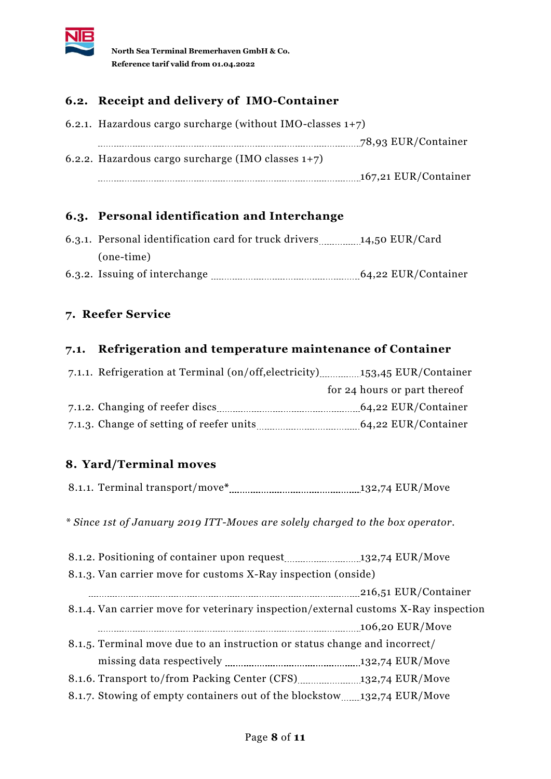

## **6.2. Receipt and delivery of IMO-Container**

6.2.1. Hazardous cargo surcharge (without IMO-classes 1+7) 78,93 EUR/Container 6.2.2. Hazardous cargo surcharge (IMO classes 1+7) 167,21 EUR/Container

### **6.3. Personal identification and Interchange**

| 6.3.1. Personal identification card for truck drivers | 14,50 EUR/Card      |
|-------------------------------------------------------|---------------------|
| (one-time)                                            |                     |
| 6.3.2. Issuing of interchange                         | 64,22 EUR/Container |

### <span id="page-9-0"></span>**7. Reefer Service**

#### **7.1. Refrigeration and temperature maintenance of Container**

| 7.1.1. Refrigeration at Terminal (on/off, electricity) [153,45 EUR/Container |                              |
|------------------------------------------------------------------------------|------------------------------|
|                                                                              | for 24 hours or part thereof |
| 7.1.2. Changing of reefer discs                                              | 64,22 EUR/Container          |
| 7.1.3. Change of setting of reefer units                                     | 64,22 EUR/Container          |

## <span id="page-9-1"></span>**8. Yard/Terminal moves**

| 8.1.1. Terminal transport/move* |  |  |
|---------------------------------|--|--|
|---------------------------------|--|--|

*\* Since 1st of January 2019 ITT-Moves are solely charged to the box operator.*

| 8.1.3. Van carrier move for customs X-Ray inspection (onside)                       |                 |
|-------------------------------------------------------------------------------------|-----------------|
|                                                                                     |                 |
| 8.1.4. Van carrier move for veterinary inspection/external customs X-Ray inspection |                 |
|                                                                                     | 106,20 EUR/Move |
| 8.1.5. Terminal move due to an instruction or status change and incorrect/          |                 |
|                                                                                     |                 |
|                                                                                     |                 |
| 8.1.7. Stowing of empty containers out of the blockstow132.74 EUR/Move              |                 |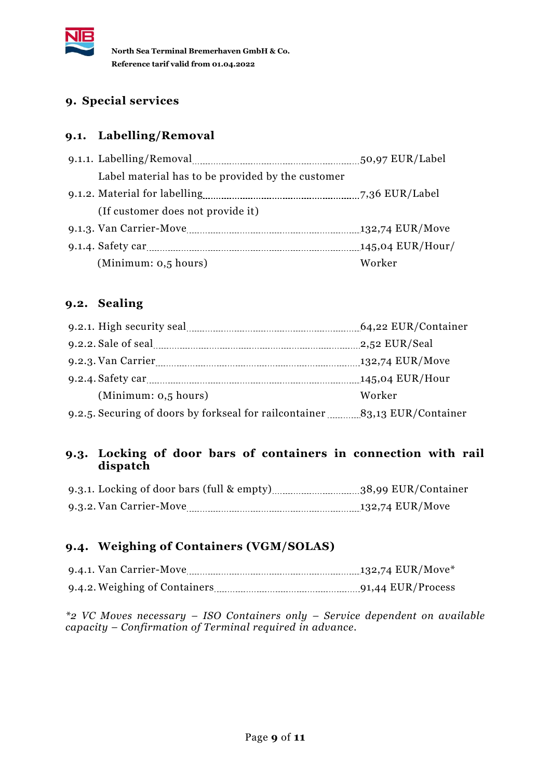

### <span id="page-10-0"></span>**9. Special services**

### **9.1. Labelling/Removal**

| Label material has to be provided by the customer |  |
|---------------------------------------------------|--|
|                                                   |  |
| (If customer does not provide it)                 |  |
|                                                   |  |
| 145,04 EUR/Hour/                                  |  |
| (Minimum: 0.5 hours)<br>Worker                    |  |

## **9.2. Sealing**

|                                                                            | 2,52 EUR/Seal     |
|----------------------------------------------------------------------------|-------------------|
|                                                                            | $132,74$ EUR/Move |
|                                                                            |                   |
| (Minimum: 0.5 hours)                                                       | Worker            |
| 9.2.5. Securing of doors by forkseal for railcontainer 33,13 EUR/Container |                   |

#### **9.3. Locking of door bars of containers in connection with rail dispatch**

| 9.3.2. Van Carrier-Move |  |
|-------------------------|--|

### **9.4. Weighing of Containers (VGM/SOLAS)**

| 9.4.1. Van Carrier-Move       |  |
|-------------------------------|--|
| 9.4.2. Weighing of Containers |  |

*\*2 VC Moves necessary – ISO Containers only – Service dependent on available capacity – Confirmation of Terminal required in advance.*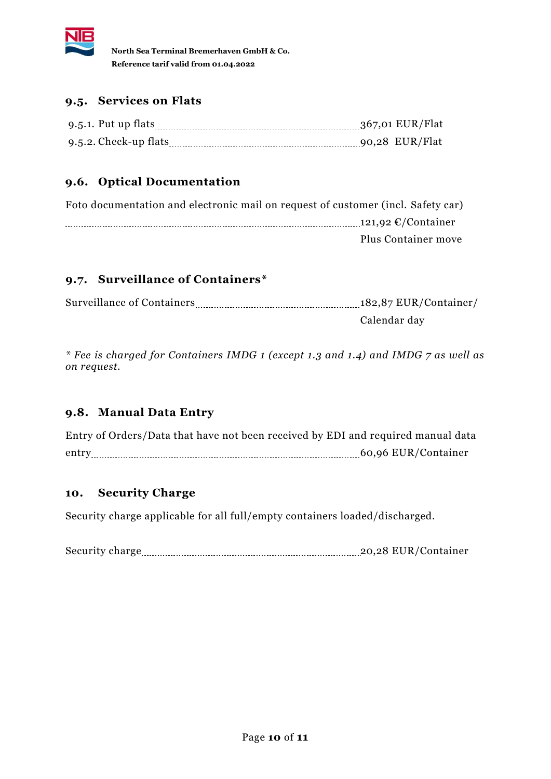

### **9.5. Services on Flats**

| 9.5.1. Put up flats      |  |
|--------------------------|--|
| $9.5.2$ . Check-up flats |  |

# **9.6. Optical Documentation**

| Foto documentation and electronic mail on request of customer (incl. Safety car) |                                           |
|----------------------------------------------------------------------------------|-------------------------------------------|
|                                                                                  | 121,92 $\mathcal{C}/\mathcal{C}$ ontainer |
|                                                                                  | Plus Container move                       |

### **9.7. Surveillance of Containers\***

| <b>Surveillance of Containers</b> | 182,87 EUR/Container/ |
|-----------------------------------|-----------------------|
|                                   | Calendar day          |

*\* Fee is charged for Containers IMDG 1 (except 1.3 and 1.4) and IMDG 7 as well as on request.*

### **9.8. Manual Data Entry**

Entry of Orders/Data that have not been received by EDI and required manual data entry 2000 entry 2000 entry 2000 entry 2000 entry 2000 entry 2000 entry 2000 entry 2000 entry 2000 entry 2000 entry 2000 entry 2000 entry 2000 entry 2000 entry 2000 entry 2000 entry 2000 entry 2000 entry 2000 entry 2000 en

#### <span id="page-11-0"></span>**10. Security Charge**

Security charge applicable for all full/empty containers loaded/discharged.

Security charge 20,28 EUR/Container